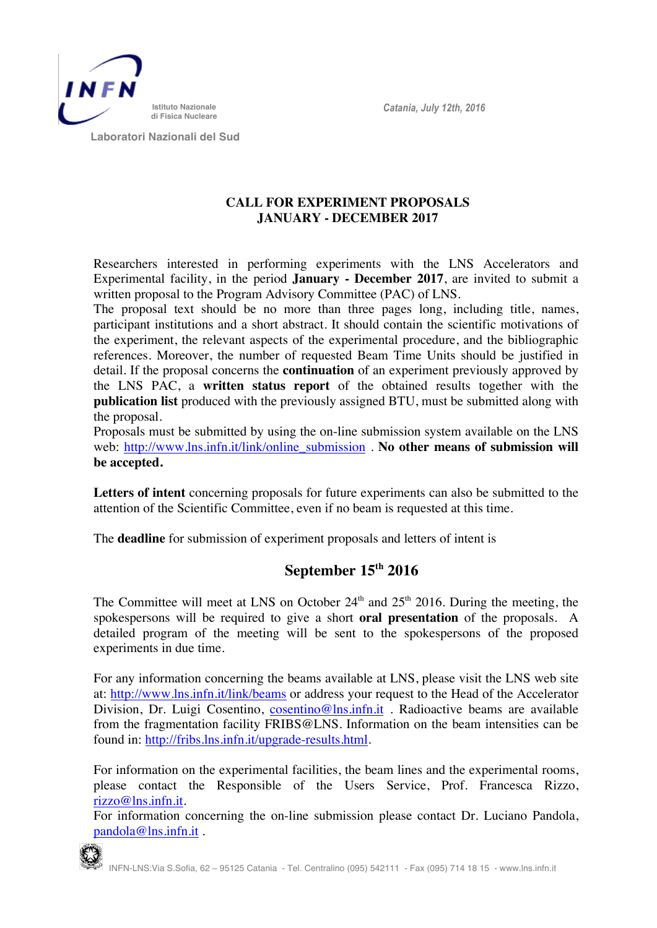*Catania, July 12th, 2016*



 **Laboratori Nazionali del Sud**

## **CALL FOR EXPERIMENT PROPOSALS JANUARY - DECEMBER 2017**

Researchers interested in performing experiments with the LNS Accelerators and Experimental facility, in the period **January - December 2017**, are invited to submit a written proposal to the Program Advisory Committee (PAC) of LNS.

The proposal text should be no more than three pages long, including title, names, participant institutions and a short abstract. It should contain the scientific motivations of the experiment, the relevant aspects of the experimental procedure, and the bibliographic references. Moreover, the number of requested Beam Time Units should be justified in detail. If the proposal concerns the **continuation** of an experiment previously approved by the LNS PAC, a **written status report** of the obtained results together with the **publication list** produced with the previously assigned BTU, must be submitted along with the proposal.

Proposals must be submitted by using the on-line submission system available on the LNS web: http://www.lns.infn.it/link/online\_submission . **No other means of submission will be accepted.** 

**Letters of intent** concerning proposals for future experiments can also be submitted to the attention of the Scientific Committee, even if no beam is requested at this time.

The **deadline** for submission of experiment proposals and letters of intent is

## **September 15th 2016**

The Committee will meet at LNS on October  $24<sup>th</sup>$  and  $25<sup>th</sup>$  2016. During the meeting, the spokespersons will be required to give a short **oral presentation** of the proposals. A detailed program of the meeting will be sent to the spokespersons of the proposed experiments in due time.

For any information concerning the beams available at LNS, please visit the LNS web site at: http://www.lns.infn.it/link/beams or address your request to the Head of the Accelerator Division, Dr. Luigi Cosentino, cosentino@lns.infn.it . Radioactive beams are available from the fragmentation facility FRIBS@LNS. Information on the beam intensities can be found in: http://fribs.lns.infn.it/upgrade-results.html.

For information on the experimental facilities, the beam lines and the experimental rooms, please contact the Responsible of the Users Service, Prof. Francesca Rizzo, rizzo@lns.infn.it.

For information concerning the on-line submission please contact Dr. Luciano Pandola, pandola@lns.infn.it .